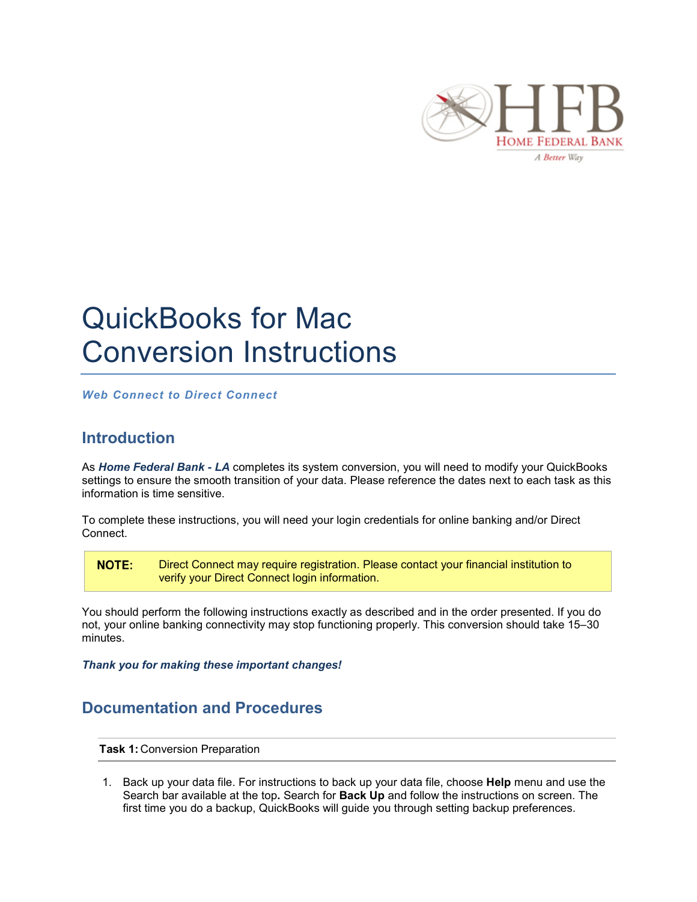

## QuickBooks for Mac Conversion Instructions

*Web Connect to Direct Connect*

## **Introduction**

As *Home Federal Bank - LA* completes its system conversion, you will need to modify your QuickBooks settings to ensure the smooth transition of your data. Please reference the dates next to each task as this information is time sensitive.

To complete these instructions, you will need your login credentials for online banking and/or Direct Connect.

**NOTE:** Direct Connect may require registration. Please contact your financial institution to verify your Direct Connect login information.

You should perform the following instructions exactly as described and in the order presented. If you do not, your online banking connectivity may stop functioning properly. This conversion should take 15–30 minutes.

*Thank you for making these important changes!*

## **Documentation and Procedures**

**Task 1:** Conversion Preparation

1. Back up your data file. For instructions to back up your data file, choose **Help** menu and use the Search bar available at the top**.** Search for **Back Up** and follow the instructions on screen. The first time you do a backup, QuickBooks will guide you through setting backup preferences.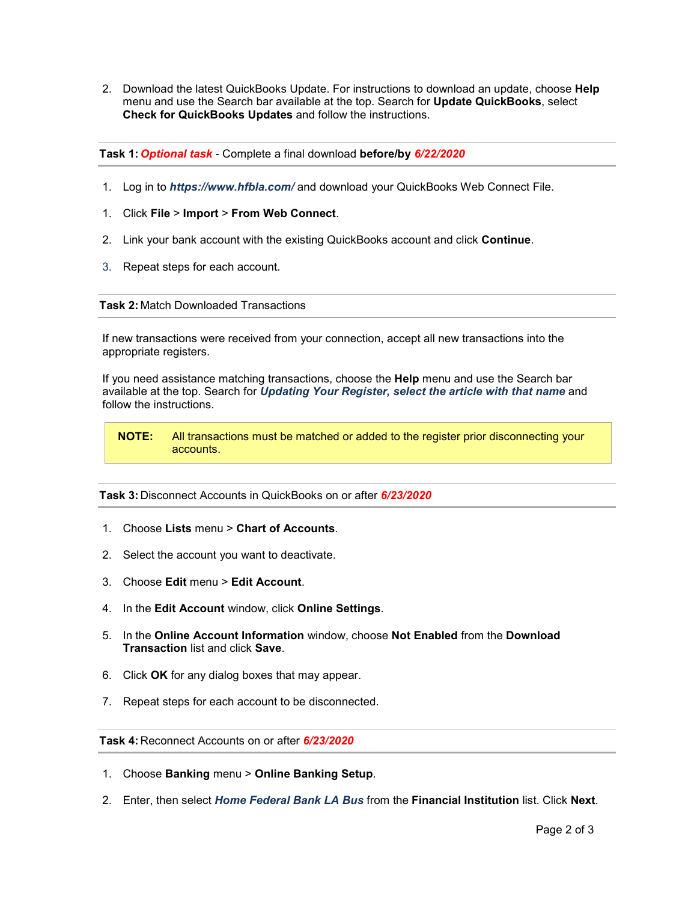2. Download the latest QuickBooks Update. For instructions to download an update, choose **Help** menu and use the Search bar available at the top. Search for **Update QuickBooks**, select **Check for QuickBooks Updates** and follow the instructions.

**Task 1:** *Optional task* - Complete a final download **before/by** *6/22/2020*

- 1. Log in to *https://www.hfbla.com/* and download your QuickBooks Web Connect File.
- 1. Click **File** > **Import** > **From Web Connect**.
- 2. Link your bank account with the existing QuickBooks account and click **Continue**.
- 3. Repeat steps for each account*.*

## **Task 2:** Match Downloaded Transactions

If new transactions were received from your connection, accept all new transactions into the appropriate registers.

If you need assistance matching transactions, choose the **Help** menu and use the Search bar available at the top. Search for *Updating Your Register, select the article with that name* and follow the instructions.

**NOTE:** All transactions must be matched or added to the register prior disconnecting your accounts.

**Task 3:** Disconnect Accounts in QuickBooks on or after *6/23/2020*

- 1. Choose **Lists** menu > **Chart of Accounts**.
- 2. Select the account you want to deactivate.
- 3. Choose **Edit** menu > **Edit Account**.
- 4. In the **Edit Account** window, click **Online Settings**.
- 5. In the **Online Account Information** window, choose **Not Enabled** from the **Download Transaction** list and click **Save**.
- 6. Click **OK** for any dialog boxes that may appear.
- 7. Repeat steps for each account to be disconnected.

**Task 4:** Reconnect Accounts on or after *6/23/2020*

- 1. Choose **Banking** menu > **Online Banking Setup**.
- 2. Enter, then select *Home Federal Bank LA Bus* from the **Financial Institution** list. Click **Next**.